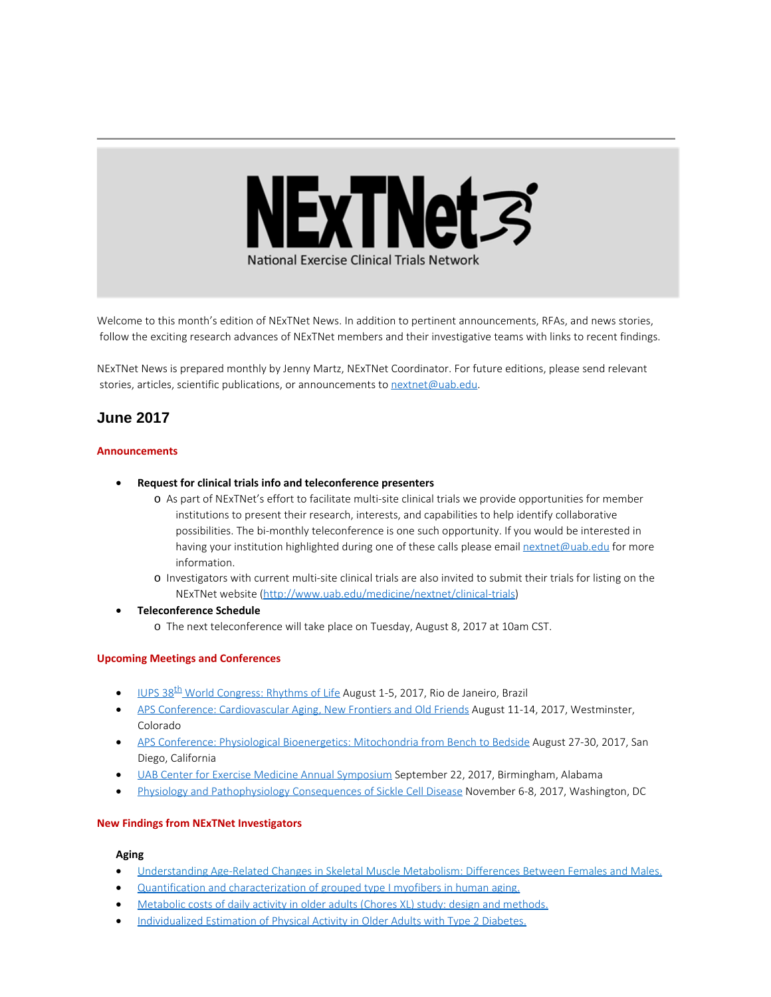

Welcome to this month's edition of NExTNet News. In addition to pertinent announcements, RFAs, and news stories, follow the exciting research advances of NExTNet members and their investigative teams with links to recent findings.

NExTNet News is prepared monthly by Jenny Martz, NExTNet Coordinator. For future editions, please send relevant stories, articles, scientific publications, or announcements to [nextnet@uab.edu](mailto:nextnet@uab.edu).

# **June 2017**

# **Announcements**

- · **Request for clinical trials info and teleconference presenters**
	- o As part of NExTNet's effort to facilitate multi-site clinical trials we provide opportunities for member institutions to present their research, interests, and capabilities to help identify collaborative possibilities. The bi-monthly teleconference is one such opportunity. If you would be interested in having your institution highlighted during one of these calls please email [nextnet@uab.edu](mailto:nextnet@uab.edu) for more information.
	- o Investigators with current multi-site clinical trials are also invited to submit their trials for listing on the NExTNet website [\(http://www.uab.edu/medicine/nextnet/clinical-trials](http://www.uab.edu/medicine/nextnet/clinical-trials))
- · **Teleconference Schedule**
	- o The next teleconference will take place on Tuesday, August 8, 2017 at 10am CST.

#### **Upcoming Meetings and Conferences**

- <u>IUPS 38<sup>th</sup> World Congress: Rhythms of Life</u> August 1-5, 2017, Rio de Janeiro, Brazil
- [APS Conference: Cardiovascular Aging, New Frontiers and Old Friends](http://www.the-aps.org/mm/Conferences/APS-Conferences/2017-Conferences/CV-Aging) August 11-14, 2017, Westminster, Colorado
- · [APS Conference: Physiological Bioenergetics: Mitochondria from Bench to Bedside](http://www.the-aps.org/mm/Conferences/APS-Conferences/2017-Conferences/Bioenergetics) August 27-30, 2017, San Diego, California
- · [UAB Center for Exercise Medicine Annual Symposium](http://www.uab.edu/medicine/exercise/center-for-exercise-medicine-annual-symposium) September 22, 2017, Birmingham, Alabama
- [Physiology and Pathophysiology Consequences of Sickle Cell Disease](http://www.the-aps.org/mm/Conferences/APS-Conferences/2017-Conferences/Sickle-Cell) November 6-8, 2017, Washington, DC

#### **New Findings from NExTNet Investigators**

#### **Aging**

- · [Understanding Age-Related Changes in Skeletal Muscle Metabolism: Differences Between Females and Males.](https://www.ncbi.nlm.nih.gov/pubmed/27431365)
- · [Quantification and characterization of grouped type I myofibers in human aging.](https://www.ncbi.nlm.nih.gov/pubmed/28561923)
- [Metabolic costs of daily activity in older adults \(Chores XL\) study: design and methods.](https://www.ncbi.nlm.nih.gov/pubmed/28649668)
- [Individualized Estimation of Physical Activity in Older Adults with Type 2 Diabetes.](https://www.ncbi.nlm.nih.gov/pubmed/28640060)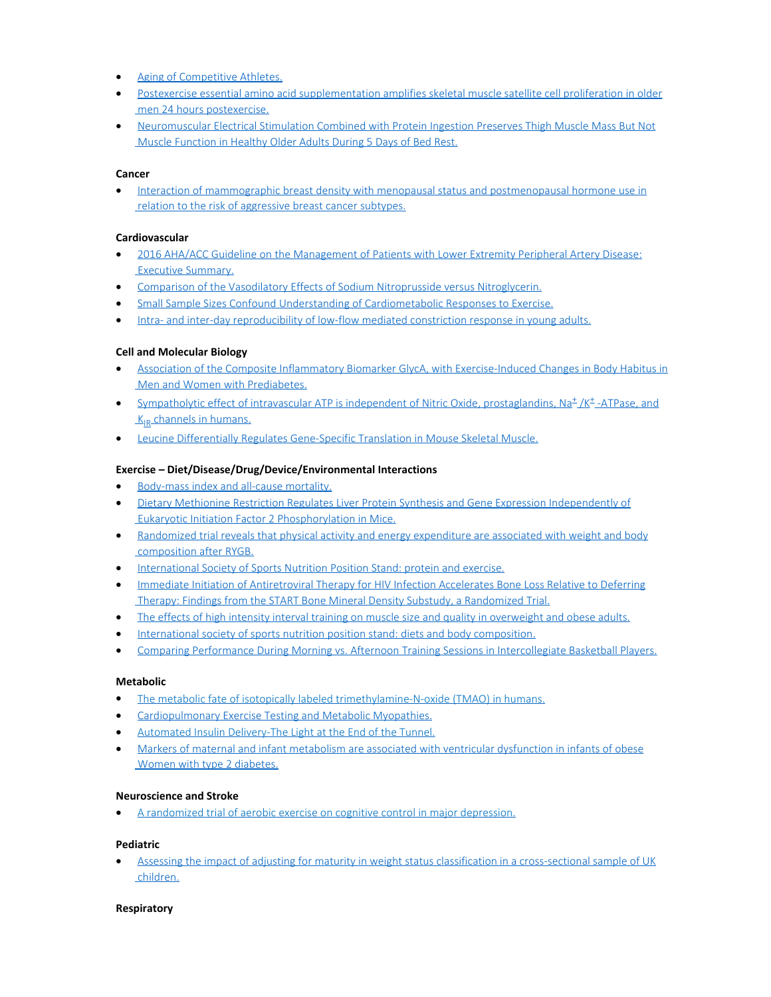- · [Aging of Competitive Athletes.](https://www.ncbi.nlm.nih.gov/pubmed/28614835)
- · [Postexercise essential amino acid supplementation amplifies skeletal muscle satellite cell proliferation in older](https://www.ncbi.nlm.nih.gov/pubmed/28596299) men 24 [hours postexercise.](https://www.ncbi.nlm.nih.gov/pubmed/28596299)
- · [Neuromuscular Electrical Stimulation Combined with Protein Ingestion Preserves Thigh Muscle Mass But Not](https://www.ncbi.nlm.nih.gov/pubmed/28482746)  [Muscle Function in Healthy Older Adults During 5 Days of Bed Rest.](https://www.ncbi.nlm.nih.gov/pubmed/28482746)

#### **Cancer**

[Interaction of mammographic breast density with menopausal status and postmenopausal hormone use in](https://www.ncbi.nlm.nih.gov/pubmed/28624977)  [relation to the risk of aggressive breast cancer subtypes.](https://www.ncbi.nlm.nih.gov/pubmed/28624977)

#### **Cardiovascular**

- · [2016 AHA/ACC Guideline on the Management of Patients with Lower Extremity Peripheral Artery Disease:](https://www.ncbi.nlm.nih.gov/pubmed/28494710)  [Executive Summary.](https://www.ncbi.nlm.nih.gov/pubmed/28494710)
- · [Comparison of the Vasodilatory Effects of Sodium Nitroprusside versus Nitroglycerin.](https://www.ncbi.nlm.nih.gov/pubmed/28572495)
- [Small Sample Sizes Confound Understanding of Cardiometabolic Responses to Exercise.](https://www.ncbi.nlm.nih.gov/pubmed/28419004)
- · [Intra- and inter-day reproducibility of low-flow mediated constriction response in young adults.](https://www.ncbi.nlm.nih.gov/pubmed/28574166)

#### **Cell and Molecular Biology**

- · [Association of the Composite Inflammatory Biomarker GlycA, with Exercise-Induced Changes in Body Habitus in](https://www.ncbi.nlm.nih.gov/pubmed/28642810)  [Men and Women with Prediabetes.](https://www.ncbi.nlm.nih.gov/pubmed/28642810)
- Sympatholytic effect of intravascular ATP is independent of Nitric Oxide, prostaglandins, Na<sup>±</sup> /K<sup>±</sup>-ATPase, and  $K_{IR}$  channels in humans.
- · [Leucine Differentially Regulates Gene-Specific Translation in Mouse Skeletal Muscle.](https://www.ncbi.nlm.nih.gov/pubmed/28615380)

# **Exercise – Diet/Disease/Drug/Device/Environmental Interactions**

- · [Body-mass index and all-cause mortality.](https://www.ncbi.nlm.nih.gov/pubmed/28612746)
- · [Dietary Methionine Restriction Regulates Liver Protein Synthesis and Gene Expression Independently of](https://www.ncbi.nlm.nih.gov/pubmed/28446632)  [Eukaryotic Initiation Factor 2 Phosphorylation in Mice.](https://www.ncbi.nlm.nih.gov/pubmed/28446632)
- · [Randomized trial reveals that physical activity and energy expenditure are associated with weight and body](https://www.ncbi.nlm.nih.gov/pubmed/28558160)  [composition after RYGB.](https://www.ncbi.nlm.nih.gov/pubmed/28558160)
- · [International Society of Sports Nutrition Position Stand: protein and exercise.](https://www.ncbi.nlm.nih.gov/pubmed/28642676)
- · [Immediate Initiation of Antiretroviral Therapy for HIV Infection Accelerates Bone Loss Relative to Deferring](https://www.ncbi.nlm.nih.gov/pubmed/28650589)  [Therapy: Findings from the START Bone Mineral Density Substudy, a Randomized Trial.](https://www.ncbi.nlm.nih.gov/pubmed/28650589)
- [The effects of high intensity interval training on muscle size and quality in overweight and obese adults.](https://www.ncbi.nlm.nih.gov/pubmed/28647284)
- · [International society of sports nutrition position stand: diets and body composition.](https://www.ncbi.nlm.nih.gov/pubmed/28630601)
- · [Comparing Performance During Morning vs. Afternoon Training Sessions in Intercollegiate Basketball Players.](https://www.ncbi.nlm.nih.gov/pubmed/28538305)

#### **Metabolic**

- [The metabolic fate of isotopically labeled trimethylamine-N-oxide \(TMAO\) in humans.](https://www.ncbi.nlm.nih.gov/pubmed/28433924)
- · [Cardiopulmonary Exercise Testing and Metabolic Myopathies.](https://www.ncbi.nlm.nih.gov/pubmed/28590155)
- [Automated Insulin Delivery-The Light at the End of the Tunnel.](https://www.ncbi.nlm.nih.gov/pubmed/28396030)
- · [Markers of maternal and infant metabolism are associated with ventricular dysfunction in infants of obese](https://www.ncbi.nlm.nih.gov/pubmed/28604759)  [Women with type 2 diabetes.](https://www.ncbi.nlm.nih.gov/pubmed/28604759)

## **Neuroscience and Stroke**

· [A randomized trial of aerobic exercise on cognitive control in major depression.](https://www.ncbi.nlm.nih.gov/pubmed/28402866)

#### **Pediatric**

· [Assessing the impact of adjusting for maturity in weight status classification in a cross-sectional sample of UK](https://www.ncbi.nlm.nih.gov/pubmed/28652292)  [children.](https://www.ncbi.nlm.nih.gov/pubmed/28652292)

## **Respiratory**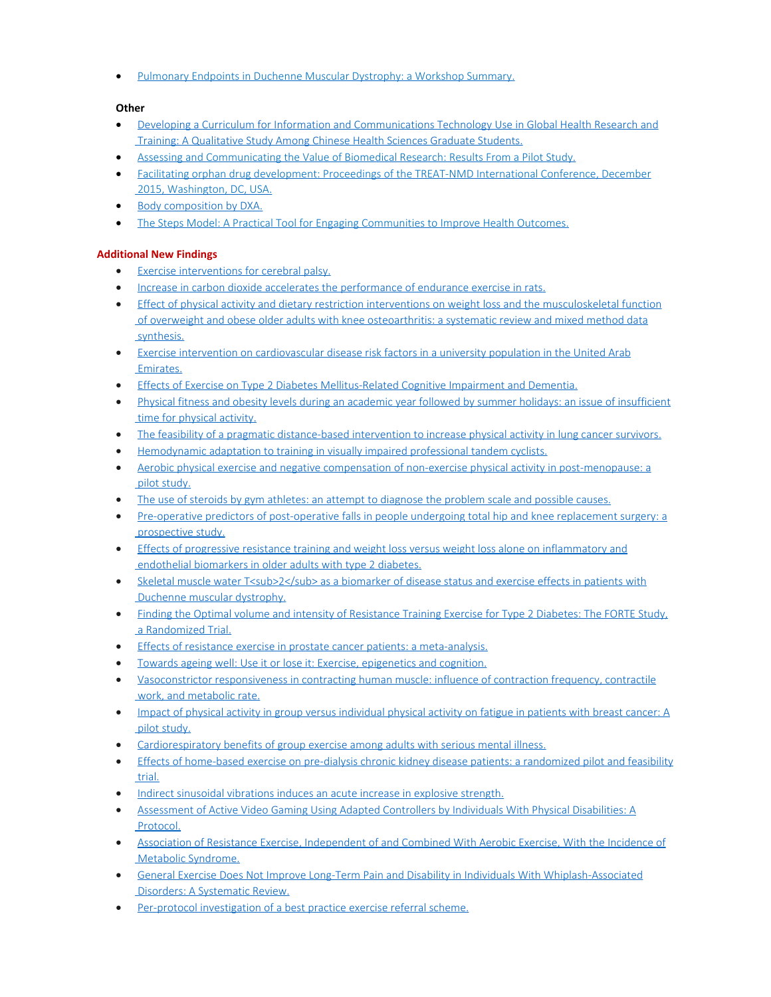[Pulmonary Endpoints in Duchenne Muscular Dystrophy: a Workshop Summary.](https://www.ncbi.nlm.nih.gov/pubmed/28636407)

# **Other**

- · [Developing a Curriculum for Information and Communications Technology Use in Global Health Research and](https://www.ncbi.nlm.nih.gov/pubmed/28606894)  [Training: A Qualitative Study Among Chinese Health Sciences Graduate Students.](https://www.ncbi.nlm.nih.gov/pubmed/28606894)
- · [Assessing and Communicating the Value of Biomedical Research: Results From a Pilot Study.](https://www.ncbi.nlm.nih.gov/pubmed/28640028)
- · [Facilitating orphan drug development: Proceedings of the TREAT-NMD International Conference, December](https://www.ncbi.nlm.nih.gov/pubmed/28434909)  [2015, Washington, DC, USA.](https://www.ncbi.nlm.nih.gov/pubmed/28434909)
- [Body composition by DXA.](https://www.ncbi.nlm.nih.gov/pubmed/28625918)
- [The Steps Model: A Practical Tool for Engaging Communities to Improve Health Outcomes.](https://www.ncbi.nlm.nih.gov/pubmed/28379936)

# **Additional New Findings**

- · [Exercise interventions for cerebral palsy.](http://www.ncbi.nlm.nih.gov/pubmed/28602046)
- · [Increase in carbon dioxide accelerates the performance of endurance exercise in rats.](http://www.ncbi.nlm.nih.gov/pubmed/28601950)
- · [Effect of physical activity and dietary restriction interventions on weight loss and the musculoskeletal function](http://www.ncbi.nlm.nih.gov/pubmed/28600365)  [of overweight and obese older adults with knee osteoarthritis: a systematic review and mixed method data](http://www.ncbi.nlm.nih.gov/pubmed/28600365)  [synthesis.](http://www.ncbi.nlm.nih.gov/pubmed/28600365)
- · [Exercise intervention on cardiovascular disease risk factors in a university population in the United Arab](http://www.ncbi.nlm.nih.gov/pubmed/28599381)  [Emirates.](http://www.ncbi.nlm.nih.gov/pubmed/28599381)
- **[Effects of Exercise on Type 2 Diabetes Mellitus-Related Cognitive Impairment and](http://www.ncbi.nlm.nih.gov/pubmed/28598841) Dementia.**
- · [Physical fitness and obesity levels during an academic year followed by summer holidays: an issue of insufficient](http://www.ncbi.nlm.nih.gov/pubmed/28598797)  [time for physical activity.](http://www.ncbi.nlm.nih.gov/pubmed/28598797)
- [The feasibility of a pragmatic distance-based intervention to increase physical activity in lung cancer survivors.](http://www.ncbi.nlm.nih.gov/pubmed/28597947)
- [Hemodynamic adaptation to training in visually impaired professional tandem cyclists.](http://www.ncbi.nlm.nih.gov/pubmed/28597621)
- · [Aerobic physical exercise and negative compensation of non-exercise physical activity in post-menopause: a](http://www.ncbi.nlm.nih.gov/pubmed/28597615)  [pilot study.](http://www.ncbi.nlm.nih.gov/pubmed/28597615)
- [The use of steroids by gym athletes: an attempt to diagnose the problem scale and possible causes.](http://www.ncbi.nlm.nih.gov/pubmed/28597613)
- · [Pre-operative predictors of post-operative falls in people undergoing total hip and knee replacement surgery: a](http://www.ncbi.nlm.nih.gov/pubmed/28597247)  [prospective study.](http://www.ncbi.nlm.nih.gov/pubmed/28597247)
- · [Effects of progressive resistance training and weight loss versus weight loss alone on inflammatory and](http://www.ncbi.nlm.nih.gov/pubmed/28597102)  [endothelial biomarkers in older adults with type 2 diabetes.](http://www.ncbi.nlm.nih.gov/pubmed/28597102)
- [Skeletal muscle water T<sub>2</sub> as a biomarker of disease status and exercise effects in patients with](http://www.ncbi.nlm.nih.gov/pubmed/28601553)  [Duchenne muscular dystrophy.](http://www.ncbi.nlm.nih.gov/pubmed/28601553)
- [Finding the Optimal volume and intensity of Resistance Training Exercise for Type 2 Diabetes: The FORTE Study,](http://www.ncbi.nlm.nih.gov/pubmed/28601003)  [a Randomized Trial.](http://www.ncbi.nlm.nih.gov/pubmed/28601003)
- · [Effects of resistance exercise in prostate cancer patients: a meta-analysis.](http://www.ncbi.nlm.nih.gov/pubmed/28600706)
- [Towards ageing well: Use it or lose it: Exercise, epigenetics and cognition.](http://www.ncbi.nlm.nih.gov/pubmed/28624982)
- · [Vasoconstrictor responsiveness in contracting human muscle: influence of contraction frequency, contractile](http://www.ncbi.nlm.nih.gov/pubmed/28624852)  [work, and metabolic rate.](http://www.ncbi.nlm.nih.gov/pubmed/28624852)
- · [Impact of physical activity in group versus individual physical activity on fatigue in patients with breast cancer: A](http://www.ncbi.nlm.nih.gov/pubmed/28624715)  [pilot study.](http://www.ncbi.nlm.nih.gov/pubmed/28624715)
- · [Cardiorespiratory benefits of group exercise among adults with serious mental illness.](http://www.ncbi.nlm.nih.gov/pubmed/28624677)
- · [Effects of home-based exercise on pre-dialysis chronic kidney disease patients: a randomized pilot and feasibility](http://www.ncbi.nlm.nih.gov/pubmed/28623895)  [trial.](http://www.ncbi.nlm.nih.gov/pubmed/28623895)
- [Indirect sinusoidal vibrations induces an acute increase in explosive strength.](http://www.ncbi.nlm.nih.gov/pubmed/28623713)
- · [Assessment of Active Video Gaming Using Adapted Controllers by Individuals With Physical Disabilities: A](http://www.ncbi.nlm.nih.gov/pubmed/28623186)  [Protocol.](http://www.ncbi.nlm.nih.gov/pubmed/28623186)
- · [Association of Resistance Exercise, Independent of and Combined With Aerobic Exercise, With the Incidence of](http://www.ncbi.nlm.nih.gov/pubmed/28622914)  [Metabolic Syndrome.](http://www.ncbi.nlm.nih.gov/pubmed/28622914)
- · [General Exercise Does Not Improve Long-Term Pain and Disability in Individuals With Whiplash-Associated](http://www.ncbi.nlm.nih.gov/pubmed/28622749)  [Disorders: A Systematic Review.](http://www.ncbi.nlm.nih.gov/pubmed/28622749)
- · [Per-protocol investigation of a best practice exercise referral scheme.](http://www.ncbi.nlm.nih.gov/pubmed/28622568)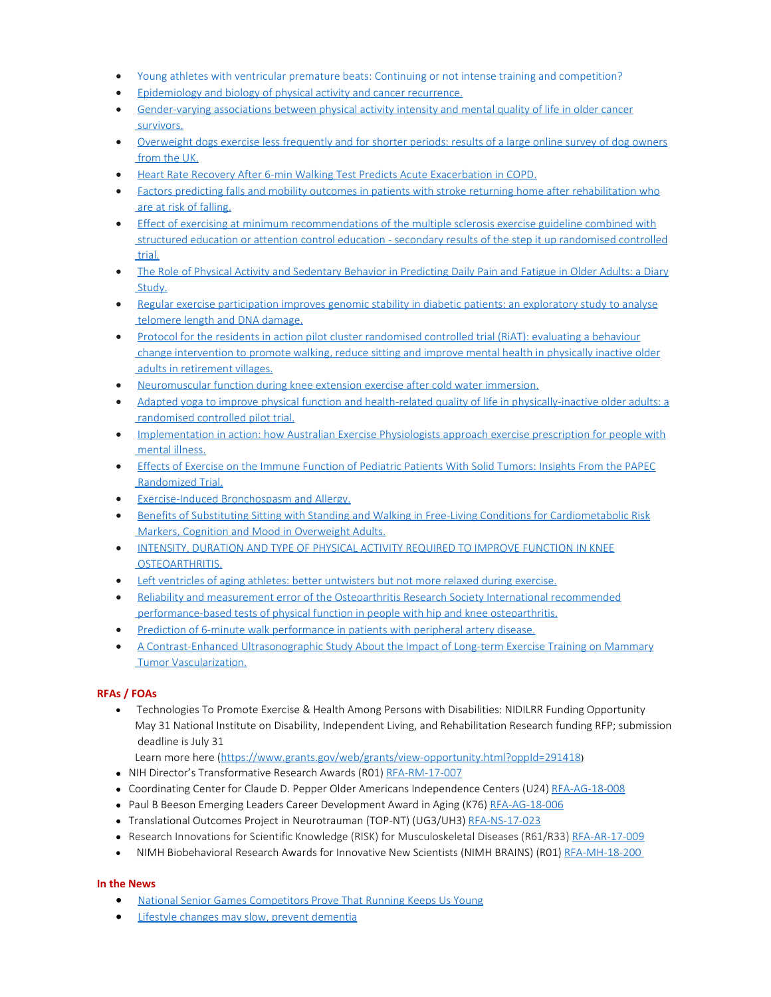- · [Young athletes with ventricular premature beats: Continuing or not intense training and competition?](http://www.ncbi.nlm.nih.gov/pubmed/28621884)
- [Epidemiology and biology of physical activity and cancer recurrence.](http://www.ncbi.nlm.nih.gov/pubmed/28620703)
- · [Gender-varying associations between physical activity intensity and mental quality of life in older cancer](http://www.ncbi.nlm.nih.gov/pubmed/28620700)  [survivors.](http://www.ncbi.nlm.nih.gov/pubmed/28620700)
- · [Overweight dogs exercise less frequently and for shorter periods: results of a large online survey of dog owners](http://www.ncbi.nlm.nih.gov/pubmed/28620486)  [from the UK.](http://www.ncbi.nlm.nih.gov/pubmed/28620486)
- · [Heart Rate Recovery After 6-min Walking Test Predicts Acute Exacerbation in COPD.](http://www.ncbi.nlm.nih.gov/pubmed/28624883)
- · [Factors predicting falls and mobility outcomes in patients with stroke returning home after rehabilitation who](http://www.ncbi.nlm.nih.gov/pubmed/28647551)  [are at risk of falling.](http://www.ncbi.nlm.nih.gov/pubmed/28647551)
- [Effect of exercising at minimum recommendations of the multiple sclerosis exercise guideline combined with](http://www.ncbi.nlm.nih.gov/pubmed/28646860)  [structured education or attention control education - secondary results of the step it up randomised controlled](http://www.ncbi.nlm.nih.gov/pubmed/28646860)  [trial.](http://www.ncbi.nlm.nih.gov/pubmed/28646860)
- [The Role of Physical Activity and Sedentary Behavior in Predicting Daily Pain and Fatigue in Older Adults: a Diary](http://www.ncbi.nlm.nih.gov/pubmed/28646335)  [Study.](http://www.ncbi.nlm.nih.gov/pubmed/28646335)
- · [Regular exercise participation improves genomic stability in diabetic patients: an exploratory study to analyse](http://www.ncbi.nlm.nih.gov/pubmed/28646223)  [telomere length and DNA damage.](http://www.ncbi.nlm.nih.gov/pubmed/28646223)
- · [Protocol for the residents in action pilot cluster randomised controlled trial \(RiAT\): evaluating a behaviour](http://www.ncbi.nlm.nih.gov/pubmed/28645969)  [change intervention to promote walking, reduce sitting and improve mental health in physically inactive older](http://www.ncbi.nlm.nih.gov/pubmed/28645969)  [adults in retirement villages.](http://www.ncbi.nlm.nih.gov/pubmed/28645969)
- · [Neuromuscular function during knee extension exercise after cold water immersion.](http://www.ncbi.nlm.nih.gov/pubmed/28645314)
- · [Adapted yoga to improve physical function and health-related quality of life in physically-inactive older adults: a](http://www.ncbi.nlm.nih.gov/pubmed/28645259)  [randomised controlled pilot trial.](http://www.ncbi.nlm.nih.gov/pubmed/28645259)
- · [Implementation in action: how Australian Exercise Physiologists approach exercise prescription for people with](http://www.ncbi.nlm.nih.gov/pubmed/28645230)  [mental illness.](http://www.ncbi.nlm.nih.gov/pubmed/28645230)
- · [Effects of Exercise on the Immune Function of Pediatric Patients With Solid Tumors: Insights From the PAPEC](http://www.ncbi.nlm.nih.gov/pubmed/28644246)  [Randomized Trial.](http://www.ncbi.nlm.nih.gov/pubmed/28644246)
- · [Exercise-Induced Bronchospasm and Allergy.](http://www.ncbi.nlm.nih.gov/pubmed/28642859)
- · [Benefits of Substituting Sitting with Standing and Walking in Free-Living Conditions for Cardiometabolic Risk](http://www.ncbi.nlm.nih.gov/pubmed/28642713)  [Markers, Cognition and Mood in Overweight Adults.](http://www.ncbi.nlm.nih.gov/pubmed/28642713)
- · [INTENSITY, DURATION AND TYPE OF PHYSICAL ACTIVITY REQUIRED TO IMPROVE FUNCTION IN KNEE](http://www.ncbi.nlm.nih.gov/pubmed/28642646)  [OSTEOARTHRITIS.](http://www.ncbi.nlm.nih.gov/pubmed/28642646)
- · [Left ventricles of aging athletes: better untwisters but not more relaxed during exercise.](http://www.ncbi.nlm.nih.gov/pubmed/28647809)
- · [Reliability and measurement error of the Osteoarthritis Research Society International recommended](http://www.ncbi.nlm.nih.gov/pubmed/28647467)  [performance-based tests of physical function in people with hip and knee osteoarthritis.](http://www.ncbi.nlm.nih.gov/pubmed/28647467)
- · [Prediction of 6-minute walk performance in patients with peripheral artery disease.](http://www.ncbi.nlm.nih.gov/pubmed/28647194)
- · [A Contrast-Enhanced Ultrasonographic Study About the Impact of Long-term Exercise Training on Mammary](http://www.ncbi.nlm.nih.gov/pubmed/28646597)  [Tumor Vascularization.](http://www.ncbi.nlm.nih.gov/pubmed/28646597)

# **RFAs / FOAs**

· Technologies To Promote Exercise & Health Among Persons with Disabilities: NIDILRR Funding Opportunity May 31 National Institute on Disability, Independent Living, and Rehabilitation Research funding RFP; submission deadline is July 31

Learn more here [\(https://www.grants.gov/web/grants/view-opportunity.html?oppId=291418](https://www.grants.gov/web/grants/view-opportunity.html?oppId=291418))

- NIH Director's Transformative Research Awards (R01) [RFA-RM-17-007](https://grants.nih.gov/grants/guide/rfa-files/RFA-RM-17-007.html)
- Coordinating Center for Claude D. Pepper Older Americans Independence Centers (U24) [RFA-AG-18-008](https://grants.nih.gov/grants/guide/rfa-files/RFA-AG-18-008.html)
- Paul B Beeson Emerging Leaders Career Development Award in Aging (K76) [RFA-AG-18-006](https://grants.nih.gov/grants/guide/rfa-files/RFA-AG-18-006.html)
- Translational Outcomes Project in Neurotrauman (TOP-NT) (UG3/UH3) [RFA-NS-17-023](https://grants.nih.gov/grants/guide/rfa-files/RFA-NS-17-023.html)
- Research Innovations for Scientific Knowledge (RISK) for Musculoskeletal Diseases (R61/R33) [RFA-AR-17-009](https://grants.nih.gov/grants/guide/rfa-files/RFA-AR-17-009.html)
- NIMH Biobehavioral Research Awards for Innovative New Scientists (NIMH BRAINS) (R01) [RFA-MH-18-200](https://grants.nih.gov/grants/guide/rfa-files/RFA-MH-18-200.html)

# **In the News**

- · [National Senior Games Competitors Prove That Running Keeps Us Young](http://www.runnersworld.com/older-runners/national-senior-games-competitors-prove-that-running-keeps-us-young?utm_content=2017-06-06&utm_campaign=Rundown&utm_source=runnersworld.com&utm_medium=newsletter&smartcode=YN_0002230465_0001616641&sha1hashlower=d0dece25b5d9b9347eecf98f29bc4ebd4f264ddd&md5hash=d697dc411cd2d447d00029b90093ce80)
- [Lifestyle changes may slow, prevent dementia](http://www.upi.com/Health_News/2017/06/22/Lifestyle-Changes-Might-Prevent-or-Slow-Dementia/5181498175510/)